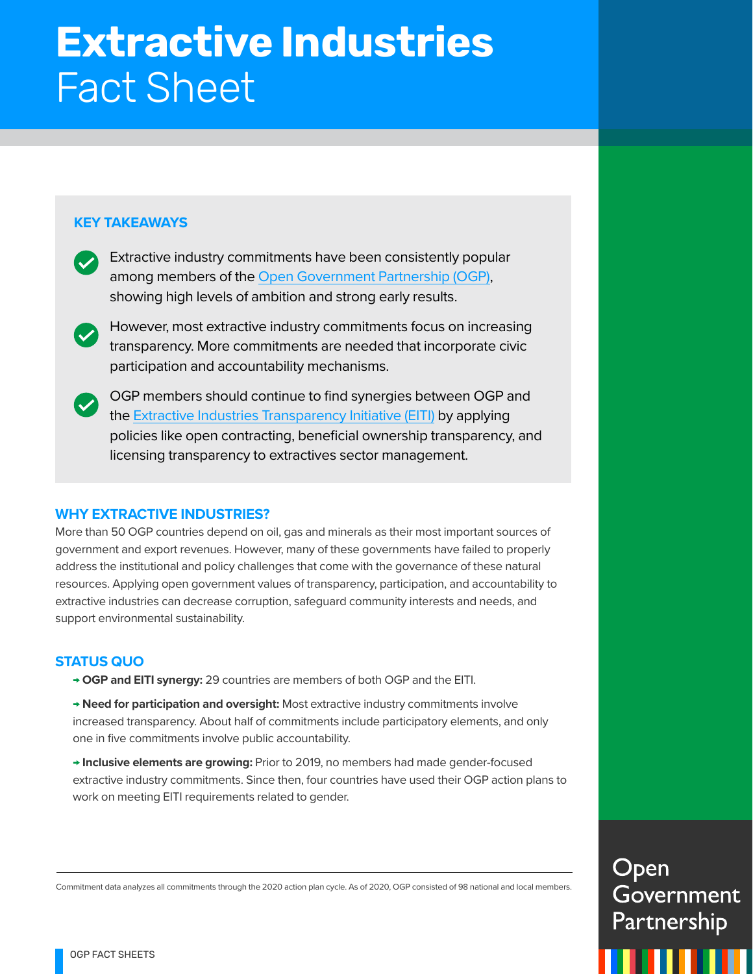# **Extractive Industries** Fact Sheet

## **KEY TAKEAWAYS**

- Extractive industry commitments have been consistently popular among members of the [Open Government Partnership \(OGP\)](https://www.opengovpartnership.org/about/), showing high levels of ambition and strong early results.
- However, most extractive industry commitments focus on increasing transparency. More commitments are needed that incorporate civic participation and accountability mechanisms.
- OGP members should continue to find synergies between OGP and the [Extractive Industries Transparency Initiative \(EITI\)](https://eiti.org/) by applying policies like open contracting, beneficial ownership transparency, and licensing transparency to extractives sector management.

## **WHY EXTRACTIVE INDUSTRIES?**

More than 50 OGP countries depend on oil, gas and minerals as their most important sources of government and export revenues. However, many of these governments have failed to properly address the institutional and policy challenges that come with the governance of these natural resources. Applying open government values of transparency, participation, and accountability to extractive industries can decrease corruption, safeguard community interests and needs, and support environmental sustainability.

## **STATUS QUO**

- **→ OGP and EITI synergy:** 29 countries are members of both OGP and the EITI.
- **→ Need for participation and oversight:** Most extractive industry commitments involve increased transparency. About half of commitments include participatory elements, and only one in five commitments involve public accountability.
- **→ Inclusive elements are growing:** Prior to 2019, no members had made gender-focused extractive industry commitments. Since then, four countries have used their OGP action plans to work on meeting EITI requirements related to gender.

Open Government Partnership

Commitment data analyzes all commitments through the 2020 action plan cycle. As of 2020, OGP consisted of 98 national and local members.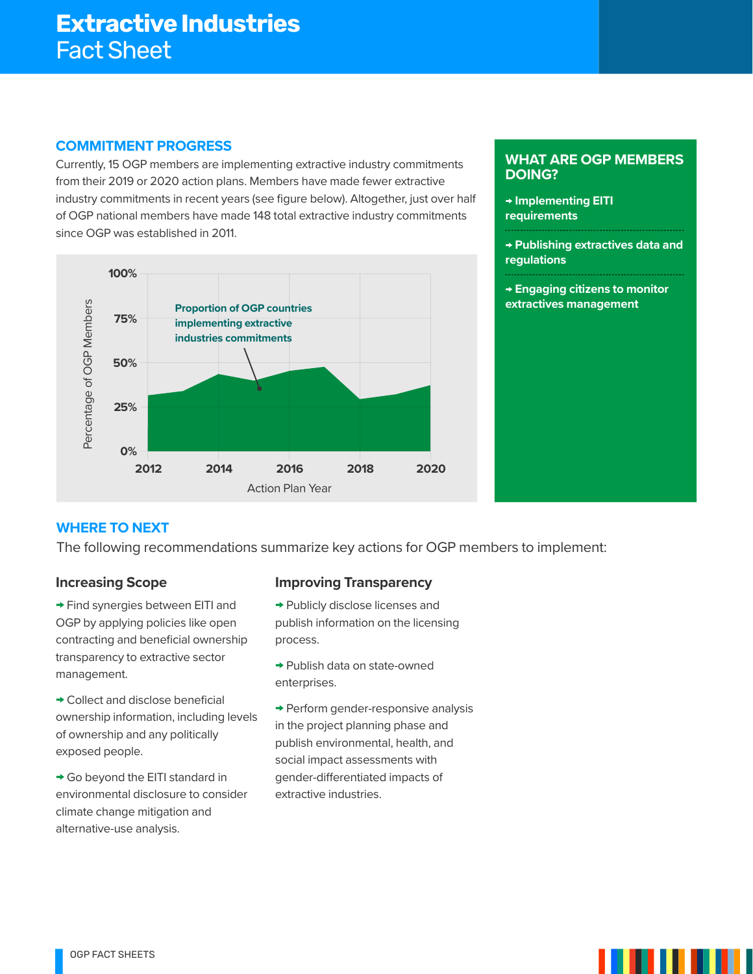#### **COMMITMENT PROGRESS**

Currently, 15 OGP members are implementing extractive industry commitments from their 2019 or 2020 action plans. Members have made fewer extractive industry commitments in recent years (see figure below). Altogether, just over half of OGP national members have made 148 total extractive industry commitments since OGP was established in 2011.



#### **WHAT ARE OGP MEMBERS DOING?**

- **→ Implementing EITI requirements**
- **→ Publishing extractives data and regulations**
- **→ Engaging citizens to monitor extractives management**

## **WHERE TO NEXT**

The following recommendations summarize key actions for OGP members to implement:

#### **Increasing Scope**

**→** Find synergies between EITI and OGP by applying policies like open contracting and beneficial ownership transparency to extractive sector management.

**→** Collect and disclose beneficial ownership information, including levels of ownership and any politically exposed people.

**→** Go beyond the EITI standard in environmental disclosure to consider climate change mitigation and alternative-use analysis.

## **Improving Transparency**

- **→** Publicly disclose licenses and publish information on the licensing process.
- **→** Publish data on state-owned enterprises.

**→** Perform gender-responsive analysis in the project planning phase and publish environmental, health, and social impact assessments with gender-differentiated impacts of extractive industries.